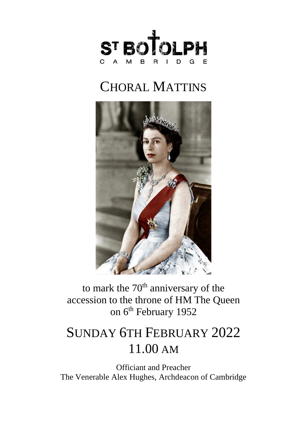

# CHORAL MATTINS



to mark the  $70<sup>th</sup>$  anniversary of the accession to the throne of HM The Queen on 6<sup>th</sup> February 1952

## SUNDAY 6TH FEBRUARY 2022 11.00 AM

Officiant and Preacher The Venerable Alex Hughes, Archdeacon of Cambridge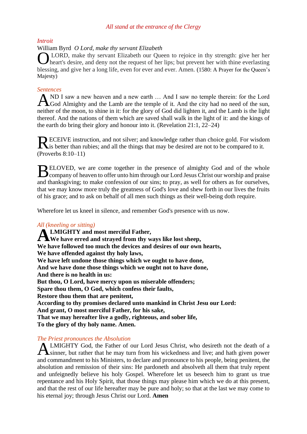#### *All stand at the entrance of the Clergy*

*Introit*

#### William Byrd *O Lord, make thy servant Elizabeth*

LORD, make thy servant Elizabeth our Queen to rejoice in thy strength: give her her O heart's desire, and deny not the request of her lips; but prevent her with thine everlasting blessing, and give her a long life, even for ever and ever. Amen. (1580: A Prayer for the Queen's Majesty)

#### *Sentences*

AND I saw a new heaven and a new earth ... And I saw no temple therein: for the Lord God Almighty and the Lamb are the temple of it. And the city had no need of the sun, **L**God Almighty and the Lamb are the temple of it. And the city had no need of the sun, neither of the moon, to shine in it: for the glory of God did lighten it, and the Lamb is the light thereof. And the nations of them which are saved shall walk in the light of it: and the kings of the earth do bring their glory and honour into it. (Revelation 21:1, 22–24)

ECEIVE instruction, and not silver; and knowledge rather than choice gold. For wisdom RECEIVE instruction, and not silver; and knowledge rather than choice gold. For wisdom is better than rubies; and all the things that may be desired are not to be compared to it. (Proverbs 8:10–11)

ELOVED, we are come together in the presence of almighty God and of the whole BELOVED, we are come together in the presence of almighty God and of the whole company of heaven to offer unto him through our Lord Jesus Christ our worship and praise and thanksgiving; to make confession of our sins; to pray, as well for others as for ourselves, that we may know more truly the greatness of God's love and shew forth in our lives the fruits of his grace; and to ask on behalf of all men such things as their well-being doth require.

Wherefore let us kneel in silence, and remember God's presence with us now.

#### *All (kneeling or sitting)*

**LMIGHTY and most merciful Father, A** LMIGHTY and most merciful Father,<br>
We have erred and strayed from thy ways like lost sheep, **We have followed too much the devices and desires of our own hearts, We have offended against thy holy laws, We have left undone those things which we ought to have done, And we have done those things which we ought not to have done, And there is no health in us: But thou, O Lord, have mercy upon us miserable offenders; Spare thou them, O God, which confess their faults, Restore thou them that are penitent, According to thy promises declared unto mankind in Christ Jesu our Lord: And grant, O most merciful Father, for his sake, That we may hereafter live a godly, righteous, and sober life, To the glory of thy holy name. Amen.**

#### *The Priest pronounces the Absolution*

**ALMIGHTY** God, the Father of our Lord Jesus Christ, who desireth not the death of a sinner, but rather that he may turn from his wickedness and live; and hath given power  $\sum$ sinner, but rather that he may turn from his wickedness and live; and hath given power and commandment to his Ministers, to declare and pronounce to his people, being penitent, the absolution and remission of their sins: He pardoneth and absolveth all them that truly repent and unfeignedly believe his holy Gospel. Wherefore let us beseech him to grant us true repentance and his Holy Spirit, that those things may please him which we do at this present, and that the rest of our life hereafter may be pure and holy; so that at the last we may come to his eternal joy; through Jesus Christ our Lord. **Amen**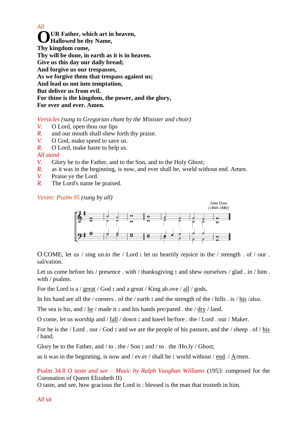*All* **UR Father, which art in heaven, Hallowed be thy Name, Thy kingdom come, Thy will be done, in earth as it is in heaven. Give us this day our daily bread; And forgive us our trespasses, As we forgive them that trespass against us; And lead us not into temptation, But deliver us from evil. For thine is the kingdom, the power, and the glory, For ever and ever. Amen. O**

*Versicles (sung to Gregorian chant by the Minister and choir)*

- *V.* O Lord, open thou our lips
- *R.* and our mouth shall shew forth thy praise.
- *V.* O God, make speed to save us.
- *R.* O Lord, make haste to help us.

#### *All stand*

- *V.* Glory be to the Father, and to the Son, and to the Holy Ghost;
- *R.* as it was in the beginning, is now, and ever shall be, world without end. Amen.
- *V.* Praise ye the Lord.
- *R.* The Lord's name be praised.

*Venite: Psalm 95 (sung by all)*



O COME, let us / sing un.to the / Lord : let us heartily rejoice in the / strength . of / our . sal/vation.

Let us come before his / presence . with / thanksgiving **:** and shew ourselves / glad . in / him . with / psalms.

For the Lord is a / great / God : and a great / King ab.ove / <u>all</u> / gods.

In his hand are all the / corners . of the / earth **:** and the strength of the / hills . is / his /also.

The sea is his, and / he / made it **:** and his hands pre/pared . the / dry / land.

O come, let us worship and / fall / down **:** and kneel be/fore . the / Lord . our / Maker.

For he is the / Lord . our / God : and we are the people of his pasture, and the / sheep . of / his / hand.

Glory be to the Father, and / to . the / Son **:** and / to . the /Ho.ly / Ghost;

as it was in the beginning, is now and / ev.er / shall be **:** world without / <u>end</u>. /  $\Delta$ /men.

Psalm 34.8 *O taste and see – Music by Ralph Vaughan Williams* (1953: composed for the Coronation of Queen Elizabeth II)

O taste, and see, how gracious the Lord is : blessed is the man that trusteth in him.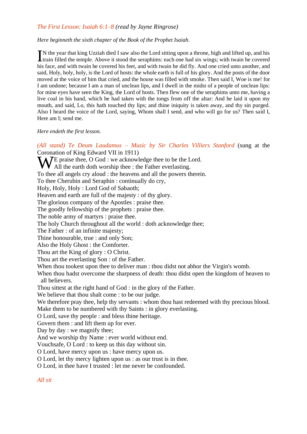#### *The First Lesson: Isaiah 6:1–8 (read by Jayne Ringrose)*

#### *Here beginneth the sixth chapter of the Book of the Prophet Isaiah.*

N the year that king Uzziah died I saw also the Lord sitting upon a throne, high and lifted up, and his IN the year that king Uzziah died I saw also the Lord sitting upon a throne, high and lifted up, and his train filled the temple. Above it stood the seraphims: each one had six wings; with twain he covered his face, and with twain he covered his feet, and with twain he did fly. And one cried unto another, and said, Holy, holy, holy, is the Lord of hosts: the whole earth is full of his glory. And the posts of the door moved at the voice of him that cried, and the house was filled with smoke. Then said I, Woe is me! for I am undone; because I am a man of unclean lips, and I dwell in the midst of a people of unclean lips: for mine eyes have seen the King, the Lord of hosts. Then flew one of the seraphims unto me, having a live coal in his hand, which he had taken with the tongs from off the altar: And he laid it upon my mouth, and said, Lo, this hath touched thy lips; and thine iniquity is taken away, and thy sin purged. Also I heard the voice of the Lord, saying, Whom shall I send, and who will go for us? Then said I, Here am I; send me.

#### *Here endeth the first lesson.*

*(All stand) Te Deum Laudamus – Music by Sir Charles Villiers Stanford* (sung at the Coronation of King Edward VII in 1911) WE praise thee, O God : we acknowledge thee to be the Lord.<br>WAll the earth doth worship thee : the Father everlasting. All the earth doth worship thee : the Father everlasting. To thee all angels cry aloud : the heavens and all the powers therein. To thee Cherubin and Seraphin : continually do cry, Holy, Holy, Holy : Lord God of Sabaoth; Heaven and earth are full of the majesty : of thy glory. The glorious company of the Apostles : praise thee. The goodly fellowship of the prophets : praise thee. The noble army of martyrs : praise thee. The holy Church throughout all the world : doth acknowledge thee; The Father : of an infinite majesty; Thine honourable, true : and only Son; Also the Holy Ghost : the Comforter. Thou art the King of glory : O Christ. Thou art the everlasting Son : of the Father. When thou tookest upon thee to deliver man : thou didst not abhor the Virgin's womb. When thou hadst overcome the sharpness of death: thou didst open the kingdom of heaven to all believers. Thou sittest at the right hand of God : in the glory of the Father. We believe that thou shalt come : to be our judge. We therefore pray thee, help thy servants : whom thou hast redeemed with thy precious blood. Make them to be numbered with thy Saints : in glory everlasting. O Lord, save thy people : and bless thine heritage. Govern them : and lift them up for ever. Day by day : we magnify thee; And we worship thy Name : ever world without end. Vouchsafe, O Lord : to keep us this day without sin. O Lord, have mercy upon us : have mercy upon us. O Lord, let thy mercy lighten upon us : as our trust is in thee. O Lord, in thee have I trusted : let me never be confounded.

#### *All sit*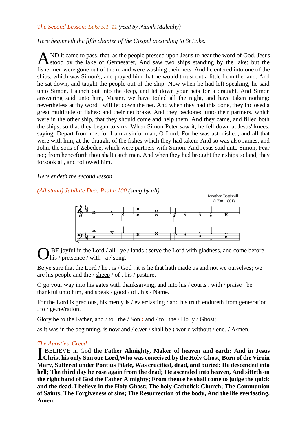#### *The Second Lesson: Luke 5:1–11 (read by Niamh Mulcahy)*

#### *Here beginneth the fifth chapter of the Gospel according to St Luke.*

ND it came to pass, that, as the people pressed upon Jesus to hear the word of God, Jesus stood by the lake of Gennesaret, And saw two ships standing by the lake: but the fishermen were gone out of them, and were washing their nets. And he entered into one of the ships, which was Simon's, and prayed him that he would thrust out a little from the land. And he sat down, and taught the people out of the ship. Now when he had left speaking, he said unto Simon, Launch out into the deep, and let down your nets for a draught. And Simon answering said unto him, Master, we have toiled all the night, and have taken nothing: nevertheless at thy word I will let down the net. And when they had this done, they inclosed a great multitude of fishes: and their net brake. And they beckoned unto their partners, which were in the other ship, that they should come and help them. And they came, and filled both the ships, so that they began to sink. When Simon Peter saw it, he fell down at Jesus' knees, saying, Depart from me; for I am a sinful man, O Lord. For he was astonished, and all that were with him, at the draught of the fishes which they had taken: And so was also James, and John, the sons of Zebedee, which were partners with Simon. And Jesus said unto Simon, Fear not; from henceforth thou shalt catch men. And when they had brought their ships to land, they forsook all, and followed him. A

#### *Here endeth the second lesson.*

*(All stand) [Jubilate](http://cofe.anglican.org/worship/liturgy/commonworship/texts/canticles/canticlesbcp.html#jubilate) Deo: Psalm 100 (sung by all)*



BE joyful in the Lord / all . ye / lands : serve the Lord with gladness, and come before his / pre.sence / with . a / song. O

Be ye sure that the Lord / he . is / God : it is he that hath made us and not we ourselves; we are his people and the / sheep / of . his / pasture.

O go your way into his gates with thanksgiving, and into his / courts . with / praise : be thankful unto him, and speak / good / of . his / Name.

For the Lord is gracious, his mercy is / ev.er/lasting : and his truth endureth from gene/ration . to / ge.ne/ration.

Glory be to the Father, and / to . the / Son **:** and / to . the / Ho.ly / Ghost;

as it was in the beginning, is now and  $/$  e.ver  $/$  shall be **:** world without  $/$  end.  $/$  A/men.

#### *The Apostles' Creed*

BELIEVE in God **the Father Almighty, Maker of heaven and earth: And in Jesus CHRIST SOLUTE:** In God the Father Almighty, Maker of heaven and earth: And in Jesus Christ his only Son our Lord, Who was conceived by the Holy Ghost, Born of the Virgin **Mary, Suffered under Pontius Pilate, Was crucified, dead, and buried: He descended into hell; The third day he rose again from the dead; He ascended into heaven, And sitteth on the right hand of God the Father Almighty; From thence he shall come to judge the quick and the dead. I believe in the Holy Ghost; The holy Catholick Church; The Communion of Saints; The Forgiveness of sins; The Resurrection of the body, And the life everlasting. Amen.**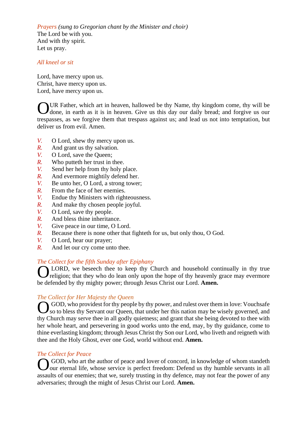*Prayers (sung to Gregorian chant by the Minister and choir)* The Lord be with you. And with thy spirit. Let us pray.

#### *All kneel or sit*

Lord, have mercy upon us. Christ, have mercy upon us. Lord, have mercy upon us.

UR Father, which art in heaven, hallowed be thy Name, thy kingdom come, thy will be OUR Father, which art in heaven, hallowed be thy Name, thy kingdom come, thy will be done, in earth as it is in heaven. Give us this day our daily bread; and forgive us our trespasses, as we forgive them that trespass against us; and lead us not into temptation, but deliver us from evil. Amen.

- *V.* O Lord, shew thy mercy upon us.
- *R.* And grant us thy salvation.
- *V.* O Lord, save the Queen;
- *R.* Who putteth her trust in thee.
- *V.* Send her help from thy holy place.
- *R.* And evermore mightily defend her.
- *V.* Be unto her, O Lord, a strong tower;
- *R.* From the face of her enemies.
- *V.* Endue thy Ministers with righteousness.
- *R.* And make thy chosen people joyful.
- *V.* O Lord, save thy people.
- *R.* And bless thine inheritance.
- *V.* Give peace in our time, O Lord.
- *R.* Because there is none other that fighteth for us, but only thou, O God.
- *V.* O Lord, hear our prayer;
- *R.* And let our cry come unto thee.

#### *The Collect for the fifth Sunday after Epiphany*

**OLORD**, we beseech thee to keep thy Church and household continually in thy true religion; that they who do lean only upon the hope of thy heavenly grace may evermore religion; that they who do lean only upon the hope of thy heavenly grace may evermore be defended by thy mighty power; through Jesus Christ our Lord. **Amen.**

#### *The Collect for Her Majesty the Queen*

GOD, who providest for thy people by thy power, and rulest over them in love: Vouchsafe so to bless thy Servant our Queen, that under her this nation may be wisely governed, and so to bless thy Servant our Queen, that under her this nation may be wisely governed, and thy Church may serve thee in all godly quietness; and grant that she being devoted to thee with her whole heart, and persevering in good works unto the end, may, by thy guidance, come to thine everlasting kingdom; through Jesus Christ thy Son our Lord, who liveth and reigneth with thee and the Holy Ghost, ever one God, world without end. **Amen.**

#### *The Collect for Peace*

GOD, who art the author of peace and lover of concord, in knowledge of whom standeth OGOD, who art the author of peace and lover of concord, in knowledge of whom standeth our eternal life, whose service is perfect freedom: Defend us thy humble servants in all assaults of our enemies; that we, surely trusting in thy defence, may not fear the power of any adversaries; through the might of Jesus Christ our Lord. **Amen.**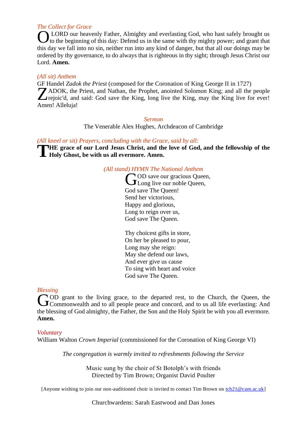#### *The Collect for Grace*

LORD our heavenly Father, Almighty and everlasting God, who hast safely brought us to the beginning of this day: Defend us in the same with thy mighty power; and grant that this day we fall into no sin, neither run into any kind of danger, but that all our doings may be ordered by thy governance, to do always that is righteous in thy sight; through Jesus Christ our Lord. **Amen.** O

#### *(All sit) Anthem*

GF Handel *Zadok the Priest* (composed for the Coronation of King George II in 1727) ADOK, the Priest, and Nathan, the Prophet, anointed Solomon King; and all the people TADOK, the Priest, and Nathan, the Prophet, anointed Solomon King; and all the people<br>
Trejoic'd, and said: God save the King, long live the King, may the King live for ever! Amen! Alleluja!

#### *Sermon*

The Venerable Alex Hughes, Archdeacon of Cambridge

#### *(All kneel or sit) Prayers, concluding with the Grace, said by all:*

**HE** grace of our Lord Jesus Christ, and the love of God, and the fellowship of the Holy Ghost, be with us all evermore. Amen. **Holy Ghost, be with us all evermore. Amen.**

#### *(All stand) HYMN The National Anthem*

**OD** save our gracious Oueen. COD save our gracious Quee<br>CLong live our noble Queen, God save The Queen! Send her victorious, Happy and glorious, Long to reign over us, God save The Queen.

Thy choicest gifts in store, On her be pleased to pour, Long may she reign: May she defend our laws, And ever give us cause To sing with heart and voice God save The Queen.

#### *Blessing*

OD grant to the living grace, to the departed rest, to the Church, the Queen, the Commonwealth and to all people peace and concord, and to us all life everlasting: And Commonwealth and to all people peace and concord, and to us all life everlasting: And the blessing of God almighty, the Father, the Son and the Holy Spirit be with you all evermore. **Amen.**

#### *Voluntary*

William Walton *Crown Imperial* (commissioned for the Coronation of King George VI)

*The congregation is warmly invited to refreshments following the Service*

Music sung by the choir of St Botolph's with friends Directed by Tim Brown; Organist David Poulter

[Anyone wishing to join our non-auditioned choir is invited to contact Tim Brown on  $tcb21@cam.ac.uk$ ]</u>

Churchwardens: Sarah Eastwood and Dan Jones